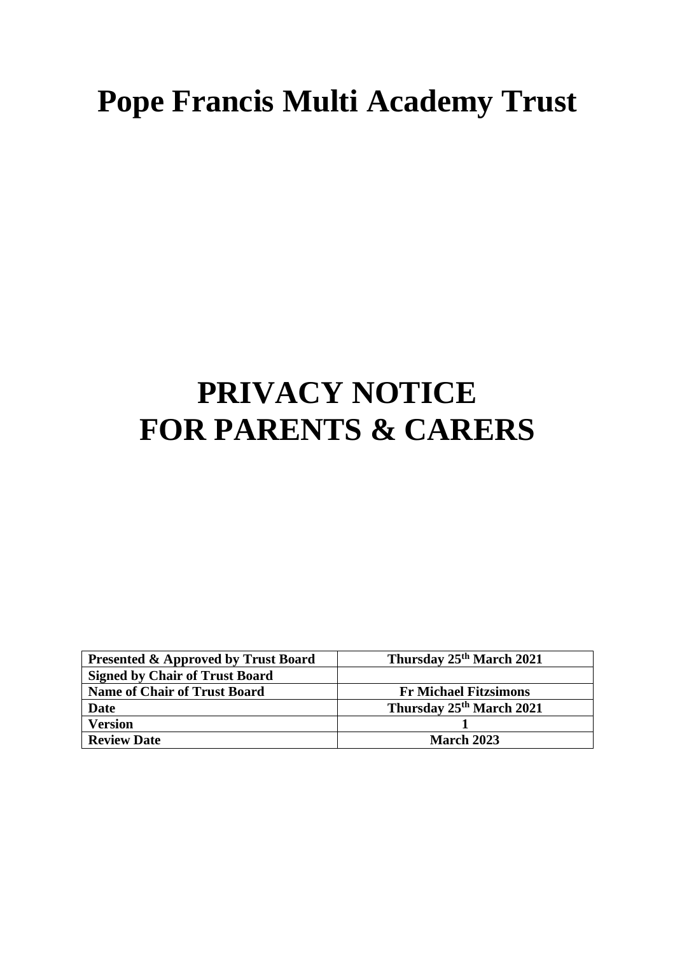# **Pope Francis Multi Academy Trust**

# **PRIVACY NOTICE FOR PARENTS & CARERS**

| <b>Presented &amp; Approved by Trust Board</b> | Thursday 25 <sup>th</sup> March 2021 |
|------------------------------------------------|--------------------------------------|
| <b>Signed by Chair of Trust Board</b>          |                                      |
| <b>Name of Chair of Trust Board</b>            | <b>Fr Michael Fitzsimons</b>         |
| Date                                           | Thursday 25th March 2021             |
| <b>Version</b>                                 |                                      |
| <b>Review Date</b>                             | <b>March 2023</b>                    |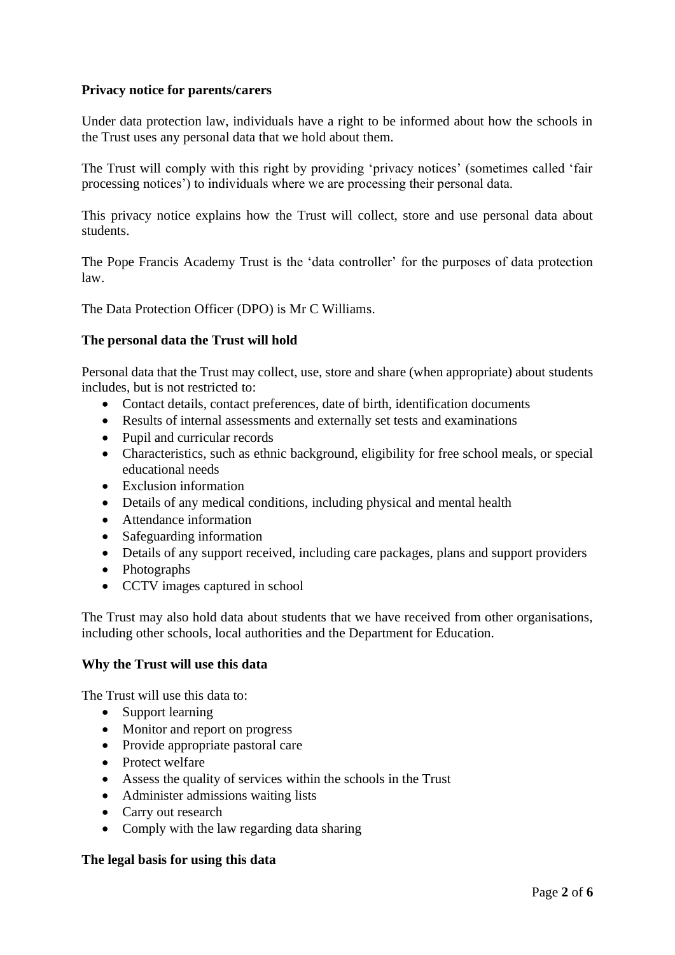## **Privacy notice for parents/carers**

Under data protection law, individuals have a right to be informed about how the schools in the Trust uses any personal data that we hold about them.

The Trust will comply with this right by providing 'privacy notices' (sometimes called 'fair processing notices') to individuals where we are processing their personal data.

This privacy notice explains how the Trust will collect, store and use personal data about students.

The Pope Francis Academy Trust is the 'data controller' for the purposes of data protection law.

The Data Protection Officer (DPO) is Mr C Williams.

## **The personal data the Trust will hold**

Personal data that the Trust may collect, use, store and share (when appropriate) about students includes, but is not restricted to:

- Contact details, contact preferences, date of birth, identification documents
- Results of internal assessments and externally set tests and examinations
- Pupil and curricular records
- Characteristics, such as ethnic background, eligibility for free school meals, or special educational needs
- Exclusion information
- Details of any medical conditions, including physical and mental health
- Attendance information
- Safeguarding information
- Details of any support received, including care packages, plans and support providers
- Photographs
- CCTV images captured in school

The Trust may also hold data about students that we have received from other organisations, including other schools, local authorities and the Department for Education.

## **Why the Trust will use this data**

The Trust will use this data to:

- Support learning
- Monitor and report on progress
- Provide appropriate pastoral care
- Protect welfare
- Assess the quality of services within the schools in the Trust
- Administer admissions waiting lists
- Carry out research
- Comply with the law regarding data sharing

#### **The legal basis for using this data**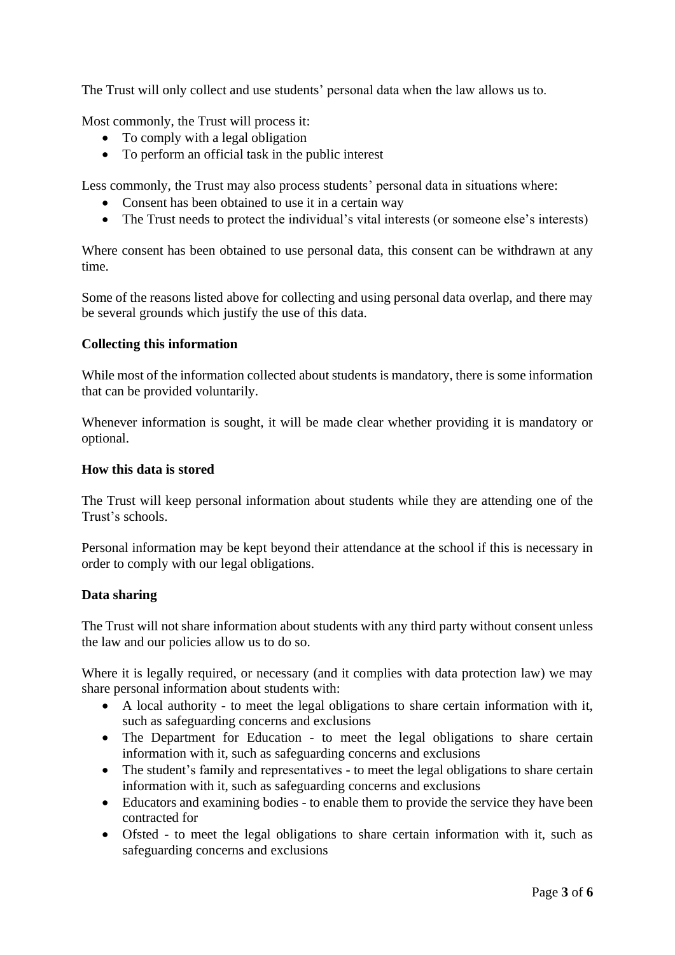The Trust will only collect and use students' personal data when the law allows us to.

Most commonly, the Trust will process it:

- To comply with a legal obligation
- To perform an official task in the public interest

Less commonly, the Trust may also process students' personal data in situations where:

- Consent has been obtained to use it in a certain way
- The Trust needs to protect the individual's vital interests (or someone else's interests)

Where consent has been obtained to use personal data, this consent can be withdrawn at any time.

Some of the reasons listed above for collecting and using personal data overlap, and there may be several grounds which justify the use of this data.

#### **Collecting this information**

While most of the information collected about students is mandatory, there is some information that can be provided voluntarily.

Whenever information is sought, it will be made clear whether providing it is mandatory or optional.

#### **How this data is stored**

The Trust will keep personal information about students while they are attending one of the Trust's schools.

Personal information may be kept beyond their attendance at the school if this is necessary in order to comply with our legal obligations.

#### **Data sharing**

The Trust will not share information about students with any third party without consent unless the law and our policies allow us to do so.

Where it is legally required, or necessary (and it complies with data protection law) we may share personal information about students with:

- A local authority to meet the legal obligations to share certain information with it, such as safeguarding concerns and exclusions
- The Department for Education to meet the legal obligations to share certain information with it, such as safeguarding concerns and exclusions
- The student's family and representatives to meet the legal obligations to share certain information with it, such as safeguarding concerns and exclusions
- Educators and examining bodies to enable them to provide the service they have been contracted for
- Ofsted to meet the legal obligations to share certain information with it, such as safeguarding concerns and exclusions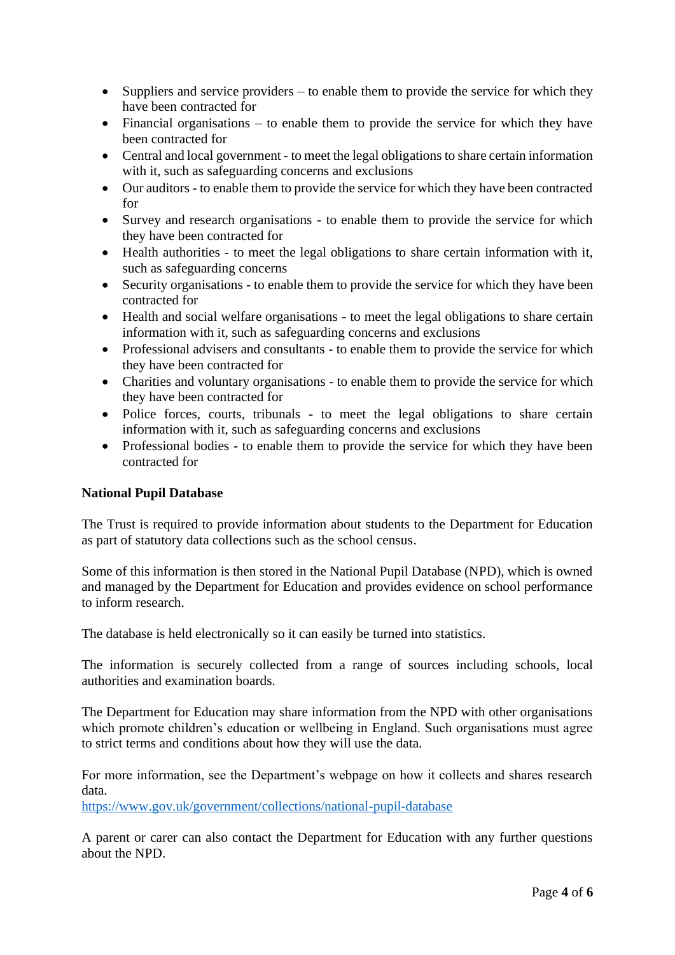- Suppliers and service providers to enable them to provide the service for which they have been contracted for
- Financial organisations to enable them to provide the service for which they have been contracted for
- Central and local government to meet the legal obligations to share certain information with it, such as safeguarding concerns and exclusions
- Our auditors to enable them to provide the service for which they have been contracted for
- Survey and research organisations to enable them to provide the service for which they have been contracted for
- Health authorities to meet the legal obligations to share certain information with it, such as safeguarding concerns
- Security organisations to enable them to provide the service for which they have been contracted for
- Health and social welfare organisations to meet the legal obligations to share certain information with it, such as safeguarding concerns and exclusions
- Professional advisers and consultants to enable them to provide the service for which they have been contracted for
- Charities and voluntary organisations to enable them to provide the service for which they have been contracted for
- Police forces, courts, tribunals to meet the legal obligations to share certain information with it, such as safeguarding concerns and exclusions
- Professional bodies to enable them to provide the service for which they have been contracted for

## **National Pupil Database**

The Trust is required to provide information about students to the Department for Education as part of statutory data collections such as the school census.

Some of this information is then stored in the National Pupil Database (NPD), which is owned and managed by the Department for Education and provides evidence on school performance to inform research.

The database is held electronically so it can easily be turned into statistics.

The information is securely collected from a range of sources including schools, local authorities and examination boards.

The Department for Education may share information from the NPD with other organisations which promote children's education or wellbeing in England. Such organisations must agree to strict terms and conditions about how they will use the data.

For more information, see the Department's webpage on how it collects and shares research data.

<https://www.gov.uk/government/collections/national-pupil-database>

A parent or carer can also contact the Department for Education with any further questions about the NPD.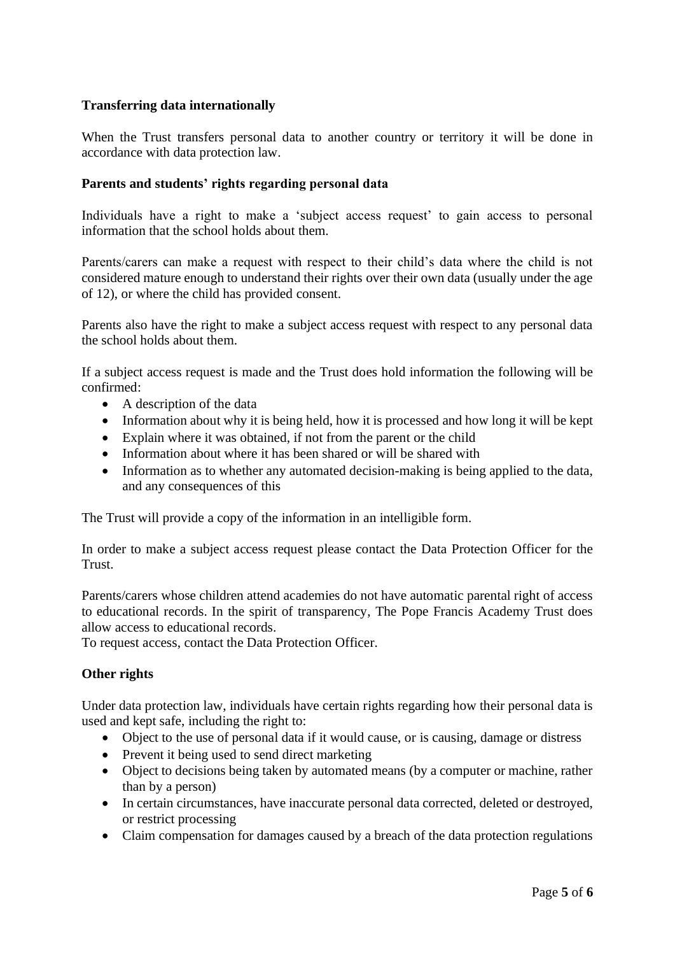## **Transferring data internationally**

When the Trust transfers personal data to another country or territory it will be done in accordance with data protection law.

#### **Parents and students' rights regarding personal data**

Individuals have a right to make a 'subject access request' to gain access to personal information that the school holds about them.

Parents/carers can make a request with respect to their child's data where the child is not considered mature enough to understand their rights over their own data (usually under the age of 12), or where the child has provided consent.

Parents also have the right to make a subject access request with respect to any personal data the school holds about them.

If a subject access request is made and the Trust does hold information the following will be confirmed:

- A description of the data
- Information about why it is being held, how it is processed and how long it will be kept
- Explain where it was obtained, if not from the parent or the child
- Information about where it has been shared or will be shared with
- Information as to whether any automated decision-making is being applied to the data, and any consequences of this

The Trust will provide a copy of the information in an intelligible form.

In order to make a subject access request please contact the Data Protection Officer for the Trust.

Parents/carers whose children attend academies do not have automatic parental right of access to educational records. In the spirit of transparency, The Pope Francis Academy Trust does allow access to educational records.

To request access, contact the Data Protection Officer.

#### **Other rights**

Under data protection law, individuals have certain rights regarding how their personal data is used and kept safe, including the right to:

- Object to the use of personal data if it would cause, or is causing, damage or distress
- Prevent it being used to send direct marketing
- Object to decisions being taken by automated means (by a computer or machine, rather than by a person)
- In certain circumstances, have inaccurate personal data corrected, deleted or destroyed, or restrict processing
- Claim compensation for damages caused by a breach of the data protection regulations